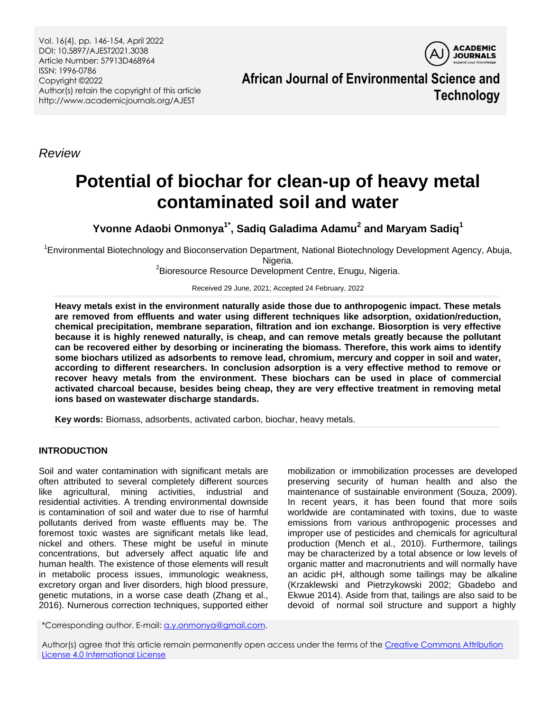Vol. 16(4), pp. 146-154, April 2022 DOI: 10.5897/AJEST2021.3038 Article Number: 57913D468964 ISSN: 1996-0786 Copyright ©2022 Author(s) retain the copyright of this article http://www.academicjournals.org/AJEST

**ACADEMIC JOURNALS** 

**African Journal of Environmental Science and Technology**

*Review*

# **Potential of biochar for clean-up of heavy metal contaminated soil and water**

**Yvonne Adaobi Onmonya1\* , Sadiq Galadima Adamu<sup>2</sup> and Maryam Sadiq<sup>1</sup>**

<sup>1</sup>Environmental Biotechnology and Bioconservation Department, National Biotechnology Development Agency, Abuja, Nigeria.

<sup>2</sup>Bioresource Resource Development Centre, Enugu, Nigeria.

Received 29 June, 2021; Accepted 24 February, 2022

**Heavy metals exist in the environment naturally aside those due to anthropogenic impact. These metals are removed from effluents and water using different techniques like adsorption, oxidation/reduction, chemical precipitation, membrane separation, filtration and ion exchange. Biosorption is very effective because it is highly renewed naturally, is cheap, and can remove metals greatly because the pollutant can be recovered either by desorbing or incinerating the biomass. Therefore, this work aims to identify some biochars utilized as adsorbents to remove lead, chromium, mercury and copper in soil and water, according to different researchers. In conclusion adsorption is a very effective method to remove or recover heavy metals from the environment. These biochars can be used in place of commercial activated charcoal because, besides being cheap, they are very effective treatment in removing metal ions based on wastewater discharge standards.** 

**Key words:** Biomass, adsorbents, activated carbon, biochar, heavy metals.

# **INTRODUCTION**

Soil and water contamination with significant metals are often attributed to several completely different sources like agricultural, mining activities, industrial and residential activities. A trending environmental downside is contamination of soil and water due to rise of harmful pollutants derived from waste effluents may be. The foremost toxic wastes are significant metals like lead, nickel and others. These might be useful in minute concentrations, but adversely affect aquatic life and human health. The existence of those elements will result in metabolic process issues, immunologic weakness, excretory organ and liver disorders, high blood pressure, genetic mutations, in a worse case death (Zhang et al., 2016). Numerous correction techniques, supported either

mobilization or immobilization processes are developed preserving security of human health and also the maintenance of sustainable environment (Souza, 2009). In recent years, it has been found that more soils worldwide are contaminated with toxins, due to waste emissions from various anthropogenic processes and improper use of pesticides and chemicals for agricultural production (Mench et al., 2010). Furthermore, tailings may be characterized by a total absence or low levels of organic matter and macronutrients and will normally have an acidic pH, although some tailings may be alkaline (Krzaklewski and Pietrzykowski 2002; Gbadebo and Ekwue 2014). Aside from that, tailings are also said to be devoid of normal soil structure and support a highly

\*Corresponding author. E-mail[: a.y.onmonya@gmail.com.](mailto:a.y.onmonya@gmail.com) 

Author(s) agree that this article remain permanently open access under the terms of th[e Creative Commons Attribution](http://creativecommons.org/licenses/by/4.0/deed.en_US)  [License 4.0 International License](http://creativecommons.org/licenses/by/4.0/deed.en_US)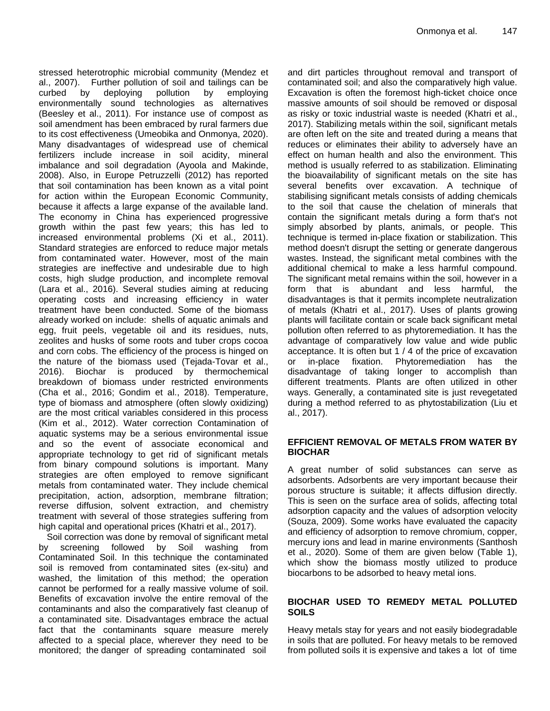stressed heterotrophic microbial community (Mendez et al., 2007). Further pollution of soil and tailings can be curbed by deploying pollution by employing environmentally sound technologies as alternatives (Beesley et al., 2011). For instance use of compost as soil amendment has been embraced by rural farmers due to its cost effectiveness (Umeobika and Onmonya, 2020). Many disadvantages of widespread use of chemical fertilizers include increase in soil acidity, mineral imbalance and soil degradation (Ayoola and Makinde, 2008). Also, in Europe Petruzzelli (2012) has reported that soil contamination has been known as a vital point for action within the European Economic Community, because it affects a large expanse of the available land. The economy in China has experienced progressive growth within the past few years; this has led to increased environmental problems (Xi et al., 2011). Standard strategies are enforced to reduce major metals from contaminated water. However, most of the main strategies are ineffective and undesirable due to high costs, high sludge production, and incomplete removal (Lara et al., 2016). Several studies aiming at reducing operating costs and increasing efficiency in water treatment have been conducted. Some of the biomass already worked on include: shells of aquatic animals and egg, fruit peels, vegetable oil and its residues, nuts, zeolites and husks of some roots and tuber crops cocoa and corn cobs. The efficiency of the process is hinged on the nature of the biomass used (Tejada-Tovar et al., 2016). Biochar is produced by thermochemical breakdown of biomass under restricted environments (Cha et al., 2016; Gondim et al., 2018). Temperature, type of biomass and atmosphere (often slowly oxidizing) are the most critical variables considered in this process (Kim et al., 2012). Water correction Contamination of aquatic systems may be a serious environmental issue and so the event of associate economical and appropriate technology to get rid of significant metals from binary compound solutions is important. Many strategies are often employed to remove significant metals from contaminated water. They include chemical precipitation, action, adsorption, membrane filtration; reverse diffusion, solvent extraction, and chemistry treatment with several of those strategies suffering from high capital and operational prices (Khatri et al., 2017).

Soil correction was done by removal of significant metal by screening followed by Soil washing from Contaminated Soil. In this technique the contaminated soil is removed from contaminated sites (ex-situ) and washed, the limitation of this method; the operation cannot be performed for a really massive volume of soil. Benefits of excavation involve the entire removal of the contaminants and also the comparatively fast cleanup of a contaminated site. Disadvantages embrace the actual fact that the contaminants square measure merely affected to a special place, wherever they need to be monitored; the danger of spreading contaminated soil

and dirt particles throughout removal and transport of contaminated soil; and also the comparatively high value. Excavation is often the foremost high-ticket choice once massive amounts of soil should be removed or disposal as risky or toxic industrial waste is needed (Khatri et al., 2017). Stabilizing metals within the soil, significant metals are often left on the site and treated during a means that reduces or eliminates their ability to adversely have an effect on human health and also the environment. This method is usually referred to as stabilization. Eliminating the bioavailability of significant metals on the site has several benefits over excavation. A technique of stabilising significant metals consists of adding chemicals to the soil that cause the chelation of minerals that contain the significant metals during a form that's not simply absorbed by plants, animals, or people. This technique is termed in-place fixation or stabilization. This method doesn't disrupt the setting or generate dangerous wastes. Instead, the significant metal combines with the additional chemical to make a less harmful compound. The significant metal remains within the soil, however in a form that is abundant and less harmful, the disadvantages is that it permits incomplete neutralization of metals (Khatri et al., 2017). Uses of plants growing plants will facilitate contain or scale back significant metal pollution often referred to as phytoremediation. It has the advantage of comparatively low value and wide public acceptance. It is often but 1 / 4 of the price of excavation or in-place fixation. Phytoremediation has the disadvantage of taking longer to accomplish than different treatments. Plants are often utilized in other ways. Generally, a contaminated site is just revegetated during a method referred to as phytostabilization (Liu et al., 2017).

#### **EFFICIENT REMOVAL OF METALS FROM WATER BY BIOCHAR**

A great number of solid substances can serve as adsorbents. Adsorbents are very important because their porous structure is suitable; it affects diffusion directly. This is seen on the surface area of solids, affecting total adsorption capacity and the values of adsorption velocity (Souza, 2009). Some works have evaluated the capacity and efficiency of adsorption to remove chromium, copper, mercury ions and lead in marine environments (Santhosh et al., 2020). Some of them are given below (Table 1), which show the biomass mostly utilized to produce biocarbons to be adsorbed to heavy metal ions.

#### **BIOCHAR USED TO REMEDY METAL POLLUTED SOILS**

Heavy metals stay for years and not easily biodegradable in soils that are polluted. For heavy metals to be removed from polluted soils it is expensive and takes a lot of time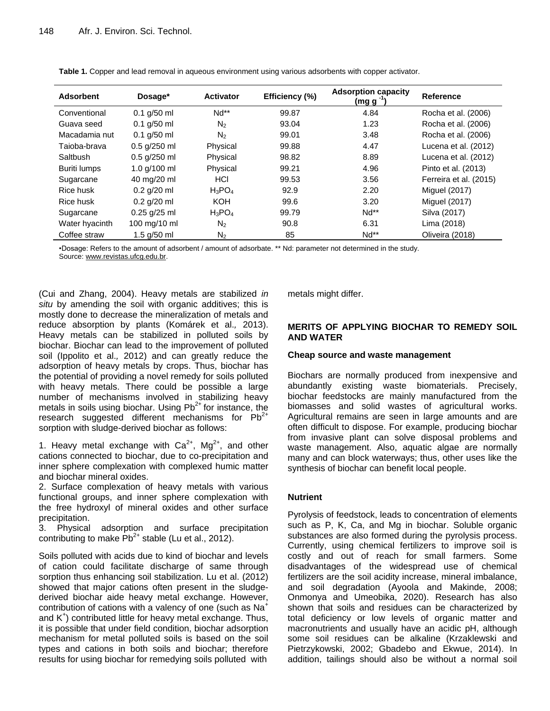| <b>Adsorbent</b> | Dosage*        | <b>Activator</b> | Efficiency (%) | <b>Adsorption capacity</b><br>(mg g | Reference              |
|------------------|----------------|------------------|----------------|-------------------------------------|------------------------|
| Conventional     | $0.1$ g/50 ml  | $Nd**$           | 99.87          | 4.84                                | Rocha et al. (2006)    |
| Guava seed       | $0.1$ g/50 ml  | N <sub>2</sub>   | 93.04          | 1.23                                | Rocha et al. (2006)    |
| Macadamia nut    | $0.1$ g/50 ml  | N <sub>2</sub>   | 99.01          | 3.48                                | Rocha et al. (2006)    |
| Taioba-brava     | $0.5$ g/250 ml | Physical         | 99.88          | 4.47                                | Lucena et al. (2012)   |
| Saltbush         | $0.5$ g/250 ml | Physical         | 98.82          | 8.89                                | Lucena et al. (2012)   |
| Buriti lumps     | 1.0 g/100 ml   | Physical         | 99.21          | 4.96                                | Pinto et al. (2013)    |
| Sugarcane        | 40 mg/20 ml    | HCI              | 99.53          | 3.56                                | Ferreira et al. (2015) |
| Rice husk        | $0.2$ g/20 ml  | $H_3PO_4$        | 92.9           | 2.20                                | Miguel (2017)          |
| Rice husk        | $0.2$ g/20 ml  | <b>KOH</b>       | 99.6           | 3.20                                | Miguel (2017)          |
| Sugarcane        | $0.25$ g/25 ml | $H_3PO_4$        | 99.79          | $Nd**$                              | Silva (2017)           |
| Water hyacinth   | 100 mg/10 ml   | N <sub>2</sub>   | 90.8           | 6.31                                | Lima (2018)            |
| Coffee straw     | $1.5$ g/50 ml  | $N_2$            | 85             | $Nd**$                              | Oliveira (2018)        |

**Table 1.** Copper and lead removal in aqueous environment using various adsorbents with copper activator.

•Dosage: Refers to the amount of adsorbent / amount of adsorbate. \*\* Nd: parameter not determined in the study.

Source: www.revistas.ufcg.edu.br.

(Cui and Zhang, 2004). Heavy metals are stabilized *in situ* by amending the soil with organic additives; this is mostly done to decrease the mineralization of metals and reduce absorption by plants (Komárek et al.*,* 2013). Heavy metals can be stabilized in polluted soils by biochar. Biochar can lead to the improvement of polluted soil (Ippolito et al.*,* 2012) and can greatly reduce the adsorption of heavy metals by crops. Thus, biochar has the potential of providing a novel remedy for soils polluted with heavy metals. There could be possible a large number of mechanisms involved in stabilizing heavy metals in soils using biochar. Using  $Pb^{2+}$  for instance, the research suggested different mechanisms for  $Pb^{2+}$ sorption with sludge-derived biochar as follows:

1. Heavy metal exchange with  $Ca^{2+}$ , Mg<sup>2+</sup>, and other cations connected to biochar, due to co-precipitation and inner sphere complexation with complexed humic matter and biochar mineral oxides.

2. Surface complexation of heavy metals with various functional groups, and inner sphere complexation with the free hydroxyl of mineral oxides and other surface precipitation.

3. Physical adsorption and surface precipitation contributing to make  $Pb^{2+}$  stable (Lu et al., 2012).

Soils polluted with acids due to kind of biochar and levels of cation could facilitate discharge of same through sorption thus enhancing soil stabilization. Lu et al. (2012) showed that major cations often present in the sludgederived biochar aide heavy metal exchange. However, contribution of cations with a valency of one (such as  $Na<sup>+</sup>$ and K<sup>+</sup>) contributed little for heavy metal exchange. Thus, it is possible that under field condition, biochar adsorption mechanism for metal polluted soils is based on the soil types and cations in both soils and biochar; therefore results for using biochar for remedying soils polluted with

metals might differ.

# **MERITS OF APPLYING BIOCHAR TO REMEDY SOIL AND WATER**

#### **Cheap source and waste management**

Biochars are normally produced from inexpensive and abundantly existing waste biomaterials. Precisely, biochar feedstocks are mainly manufactured from the biomasses and solid wastes of agricultural works. Agricultural remains are seen in large amounts and are often difficult to dispose. For example, producing biochar from invasive plant can solve disposal problems and waste management. Also, aquatic algae are normally many and can block waterways; thus, other uses like the synthesis of biochar can benefit local people.

# **Nutrient**

Pyrolysis of feedstock, leads to concentration of elements such as P, K, Ca, and Mg in biochar. Soluble organic substances are also formed during the pyrolysis process. Currently, using chemical fertilizers to improve soil is costly and out of reach for small farmers. Some disadvantages of the widespread use of chemical fertilizers are the soil acidity increase, mineral imbalance, and soil degradation (Ayoola and Makinde, 2008; Onmonya and Umeobika, 2020). Research has also shown that soils and residues can be characterized by total deficiency or low levels of organic matter and macronutrients and usually have an acidic pH, although some soil residues can be alkaline (Krzaklewski and Pietrzykowski, 2002; Gbadebo and Ekwue, 2014). In addition, tailings should also be without a normal soil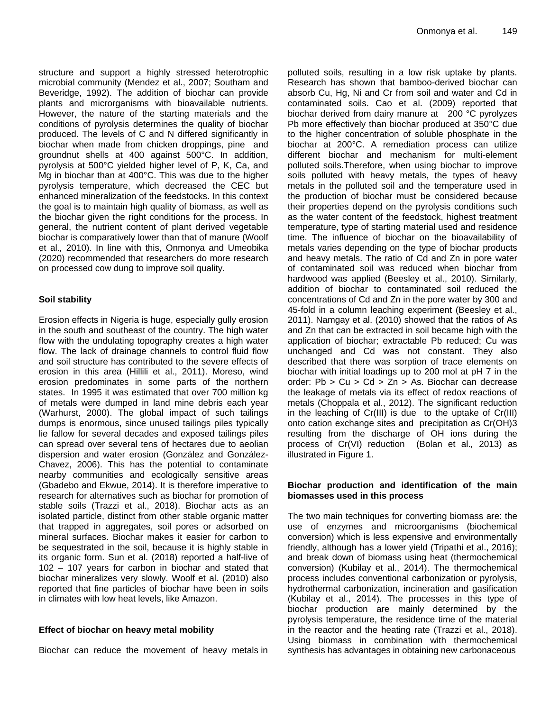structure and support a highly stressed heterotrophic microbial community (Mendez et al., 2007; Southam and Beveridge, 1992). The addition of biochar can provide plants and microrganisms with bioavailable nutrients. However, the nature of the starting materials and the conditions of pyrolysis determines the quality of biochar produced. The levels of C and N differed significantly in biochar when made from chicken droppings, pine and groundnut shells at 400 against 500°C. In addition, pyrolysis at 500°C yielded higher level of P, K, Ca, and Mg in biochar than at 400°C. This was due to the higher pyrolysis temperature, which decreased the CEC but enhanced mineralization of the feedstocks. In this context the goal is to maintain high quality of biomass, as well as the biochar given the right conditions for the process. In general, the nutrient content of plant derived vegetable biochar is comparatively lower than that of manure (Woolf et al.*,* 2010). In line with this, Onmonya and Umeobika (2020) recommended that researchers do more research on processed cow dung to improve soil quality.

# **Soil stability**

Erosion effects in Nigeria is huge, especially gully erosion in the south and southeast of the country. The high water flow with the undulating topography creates a high water flow. The lack of drainage channels to control fluid flow and soil structure has contributed to the severe effects of erosion in this area (Hillili et al., 2011). Moreso, wind erosion predominates in some parts of the northern states. In 1995 it was estimated that over 700 million kg of metals were dumped in land mine debris each year (Warhurst, 2000). The global impact of such tailings dumps is enormous, since unused tailings piles typically lie fallow for several decades and exposed tailings piles can spread over several tens of hectares due to aeolian dispersion and water erosion (González and González-Chavez, 2006). This has the potential to contaminate nearby communities and ecologically sensitive areas (Gbadebo and Ekwue, 2014). It is therefore imperative to research for alternatives such as biochar for promotion of stable soils (Trazzi et al., 2018). Biochar acts as an isolated particle, distinct from other stable organic matter that trapped in aggregates, soil pores or adsorbed on mineral surfaces. Biochar makes it easier for carbon to be sequestrated in the soil, because it is highly stable in its organic form. Sun et al. (2018) reported a half-live of 102 – 107 years for carbon in biochar and stated that biochar mineralizes very slowly. Woolf et al. (2010) also reported that fine particles of biochar have been in soils in climates with low heat levels, like Amazon.

# **Effect of biochar on heavy metal mobility**

Biochar can reduce the movement of heavy metals in

polluted soils, resulting in a low risk uptake by plants. Research has shown that bamboo-derived biochar can absorb Cu, Hg, Ni and Cr from soil and water and Cd in contaminated soils. Cao et al. (2009) reported that biochar derived from dairy manure at 200 °C pyrolyzes Pb more effectively than biochar produced at 350°C due to the higher concentration of soluble phosphate in the biochar at 200°C. A remediation process can utilize different biochar and mechanism for multi-element polluted soils.Therefore, when using biochar to improve soils polluted with heavy metals, the types of heavy metals in the polluted soil and the temperature used in the production of biochar must be considered because their properties depend on the pyrolysis conditions such as the water content of the feedstock, highest treatment temperature, type of starting material used and residence time. The influence of biochar on the bioavailability of metals varies depending on the type of biochar products and heavy metals. The ratio of Cd and Zn in pore water of contaminated soil was reduced when biochar from hardwood was applied (Beesley et al., 2010). Similarly, addition of biochar to contaminated soil reduced the concentrations of Cd and Zn in the pore water by 300 and 45-fold in a column leaching experiment (Beesley et al., 2011). Namgay et al. (2010) showed that the ratios of As and Zn that can be extracted in soil became high with the application of biochar; extractable Pb reduced; Cu was unchanged and Cd was not constant. They also described that there was sorption of trace elements on biochar with initial loadings up to 200 mol at pH 7 in the order: Pb > Cu > Cd > Zn > As. Biochar can decrease the leakage of metals via its effect of redox reactions of metals (Choppala et al., 2012). The significant reduction in the leaching of Cr(III) is due to the uptake of Cr(III) onto cation exchange sites and precipitation as Cr(OH)3 resulting from the discharge of OH ions during the process of Cr(VI) reduction (Bolan et al.*,* 2013) as illustrated in Figure 1.

# **Biochar production and identification of the main biomasses used in this process**

The two main techniques for converting biomass are: the use of enzymes and microorganisms (biochemical conversion) which is less expensive and environmentally friendly, although has a lower yield (Tripathi et al., 2016); and break down of biomass using heat (thermochemical conversion) (Kubilay et al., 2014). The thermochemical process includes conventional carbonization or pyrolysis, hydrothermal carbonization, incineration and gasification (Kubilay et al., 2014). The processes in this type of biochar production are mainly determined by the pyrolysis temperature, the residence time of the material in the reactor and the heating rate (Trazzi et al., 2018). Using biomass in combination with thermochemical synthesis has advantages in obtaining new carbonaceous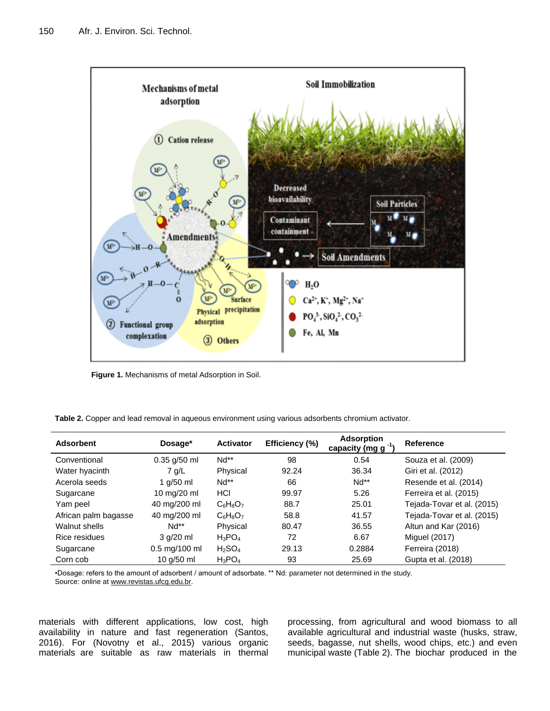

**Figure 1.** Mechanisms of metal Adsorption in Soil.

**Table 2.** Copper and lead removal in aqueous environment using various adsorbents chromium activator.

| <b>Adsorbent</b>     | Dosage*         | <b>Activator</b> | Efficiency (%) | <b>Adsorption</b><br>capacity (mg g | Reference                  |
|----------------------|-----------------|------------------|----------------|-------------------------------------|----------------------------|
| Conventional         | $0.35$ g/50 ml  | $Nd**$           | 98             | 0.54                                | Souza et al. (2009)        |
| Water hyacinth       | $7$ q/L         | Physical         | 92.24          | 36.34                               | Giri et al. (2012)         |
| Acerola seeds        | 1 $q/50$ ml     | $Nd**$           | 66             | $Nd**$                              | Resende et al. (2014)      |
| Sugarcane            | 10 mg/20 ml     | <b>HCI</b>       | 99.97          | 5.26                                | Ferreira et al. (2015)     |
| Yam peel             | 40 mg/200 ml    | $C_6H_8O_7$      | 88.7           | 25.01                               | Tejada-Tovar et al. (2015) |
| African palm bagasse | 40 mg/200 ml    | $C_6H_8O_7$      | 58.8           | 41.57                               | Tejada-Tovar et al. (2015) |
| Walnut shells        | $Nd**$          | Physical         | 80.47          | 36.55                               | Altun and Kar (2016)       |
| Rice residues        | $3 q/20$ ml     | $H_3PO_4$        | 72             | 6.67                                | Miguel (2017)              |
| Sugarcane            | $0.5$ mg/100 ml | $H_2SO_4$        | 29.13          | 0.2884                              | Ferreira (2018)            |
| Corn cob             | 10 g/50 ml      | $H_3PO_4$        | 93             | 25.69                               | Gupta et al. (2018)        |

•Dosage: refers to the amount of adsorbent / amount of adsorbate. \*\* Nd: parameter not determined in the study. Source: online a[t www.revistas.ufcg.edu.br.](file://192.168.1.30/publication/BIOLOGICAL%20SCIENCE/AJEST/2022/Numbered/4.%20April/2.%20AJEST-29.06.21-3038%20Paid/Publication/www.revistas.ufcg.edu.br)

materials with different applications, low cost, high availability in nature and fast regeneration (Santos, 2016). For (Novotny et al., 2015) various organic materials are suitable as raw materials in thermal processing, from agricultural and wood biomass to all available agricultural and industrial waste (husks, straw, seeds, bagasse, nut shells, wood chips, etc.) and even municipal waste (Table 2). The biochar produced in the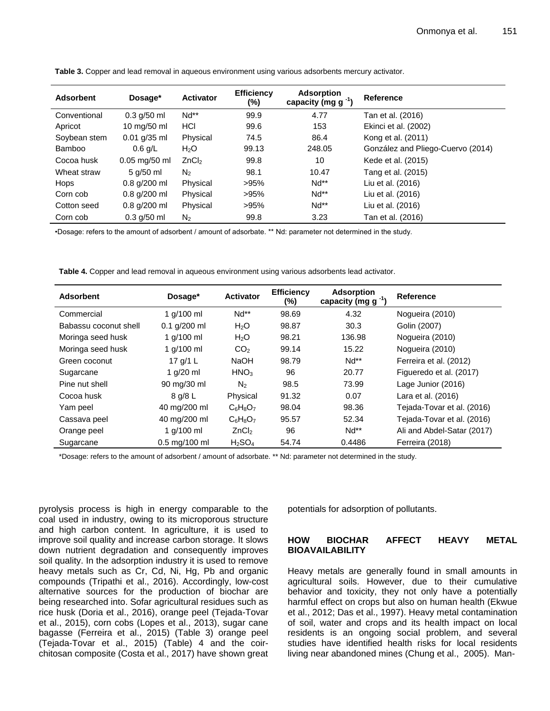| <b>Adsorbent</b> | Dosage*         | <b>Activator</b>  | <b>Efficiency</b><br>(%) | <b>Adsorption</b><br>capacity (mg $g^{-1}$ ) | Reference                         |
|------------------|-----------------|-------------------|--------------------------|----------------------------------------------|-----------------------------------|
| Conventional     | $0.3$ g/50 ml   | $Nd**$            | 99.9                     | 4.77                                         | Tan et al. (2016)                 |
| Apricot          | 10 mg/50 ml     | HCI               | 99.6                     | 153                                          | Ekinci et al. (2002)              |
| Soybean stem     | $0.01$ g/35 ml  | Physical          | 74.5                     | 86.4                                         | Kong et al. (2011)                |
| <b>Bamboo</b>    | $0.6$ g/L       | H <sub>2</sub> O  | 99.13                    | 248.05                                       | González and Pliego-Cuervo (2014) |
| Cocoa husk       | $0.05$ mg/50 ml | ZnCl <sub>2</sub> | 99.8                     | 10                                           | Kede et al. (2015)                |
| Wheat straw      | 5 g/50 ml       | N <sub>2</sub>    | 98.1                     | 10.47                                        | Tang et al. (2015)                |
| <b>Hops</b>      | $0.8$ g/200 ml  | Physical          | >95%                     | $Nd**$                                       | Liu et al. (2016)                 |
| Corn cob         | $0.8$ g/200 ml  | Physical          | >95%                     | $Nd**$                                       | Liu et al. (2016)                 |
| Cotton seed      | $0.8$ g/200 ml  | Physical          | >95%                     | $Nd**$                                       | Liu et al. (2016)                 |
| Corn cob         | $0.3$ g/50 ml   | $N_2$             | 99.8                     | 3.23                                         | Tan et al. (2016)                 |

**Table 3.** Copper and lead removal in aqueous environment using various adsorbents mercury activator.

•Dosage: refers to the amount of adsorbent / amount of adsorbate. \*\* Nd: parameter not determined in the study.

**Table 4.** Copper and lead removal in aqueous environment using various adsorbents lead activator.

| <b>Adsorbent</b>      | Dosage*                         | <b>Activator</b>               | <b>Efficiency</b><br>(%) | <b>Adsorption</b><br>capacity (mg $g^{-1}$ ) | Reference                  |
|-----------------------|---------------------------------|--------------------------------|--------------------------|----------------------------------------------|----------------------------|
| Commercial            | 1 g/100 ml                      | $Nd**$                         | 98.69                    | 4.32                                         | Noqueira (2010)            |
| Babassu coconut shell | $0.1$ g/200 ml                  | H <sub>2</sub> O               | 98.87                    | 30.3                                         | Golin (2007)               |
| Moringa seed husk     | 1 $a/100$ ml                    | H <sub>2</sub> O               | 98.21                    | 136.98                                       | Noqueira (2010)            |
| Moringa seed husk     | 1 $q/100$ ml                    | CO <sub>2</sub>                | 99.14                    | 15.22                                        | Noqueira (2010)            |
| Green coconut         | 17 g/1 L                        | <b>NaOH</b>                    | 98.79                    | $Nd**$                                       | Ferreira et al. (2012)     |
| Sugarcane             | 1 $q/20$ ml                     | HNO <sub>3</sub>               | 96                       | 20.77                                        | Figueredo et al. (2017)    |
| Pine nut shell        | 90 mg/30 ml                     | N <sub>2</sub>                 | 98.5                     | 73.99                                        | Lage Junior (2016)         |
| Cocoa husk            | 8 g/8 L                         | Physical                       | 91.32                    | 0.07                                         | Lara et al. (2016)         |
| Yam peel              | 40 mg/200 ml                    | $C_6H_8O_7$                    | 98.04                    | 98.36                                        | Tejada-Tovar et al. (2016) |
| Cassava peel          | 40 mg/200 ml                    | $C_6H_8O_7$                    | 95.57                    | 52.34                                        | Tejada-Tovar et al. (2016) |
| Orange peel           | 1 $q/100$ ml                    | ZnCl <sub>2</sub>              | 96                       | $Nd^{**}$                                    | Ali and Abdel-Satar (2017) |
| Sugarcane             | $0.5 \text{ ma}/100 \text{ ml}$ | H <sub>2</sub> SO <sub>4</sub> | 54.74                    | 0.4486                                       | Ferreira (2018)            |

\*Dosage: refers to the amount of adsorbent / amount of adsorbate. \*\* Nd: parameter not determined in the study.

pyrolysis process is high in energy comparable to the coal used in industry, owing to its microporous structure and high carbon content. In agriculture, it is used to improve soil quality and increase carbon storage. It slows down nutrient degradation and consequently improves soil quality. In the adsorption industry it is used to remove heavy metals such as Cr, Cd, Ni, Hg, Pb and organic compounds (Tripathi et al., 2016). Accordingly, low-cost alternative sources for the production of biochar are being researched into. Sofar agricultural residues such as rice husk (Doria et al., 2016), orange peel (Tejada-Tovar et al., 2015), corn cobs (Lopes et al., 2013), sugar cane bagasse (Ferreira et al., 2015) (Table 3) orange peel (Tejada-Tovar et al., 2015) (Table) 4 and the coirchitosan composite (Costa et al., 2017) have shown great

potentials for adsorption of pollutants.

#### **HOW BIOCHAR AFFECT HEAVY METAL BIOAVAILABILITY**

Heavy metals are generally found in small amounts in agricultural soils. However, due to their cumulative behavior and toxicity, they not only have a potentially harmful effect on crops but also on human health (Ekwue et al., 2012; Das et al., 1997). Heavy metal contamination of soil, water and crops and its health impact on local residents is an ongoing social problem, and several studies have identified health risks for local residents living near abandoned mines (Chung et al., 2005). Man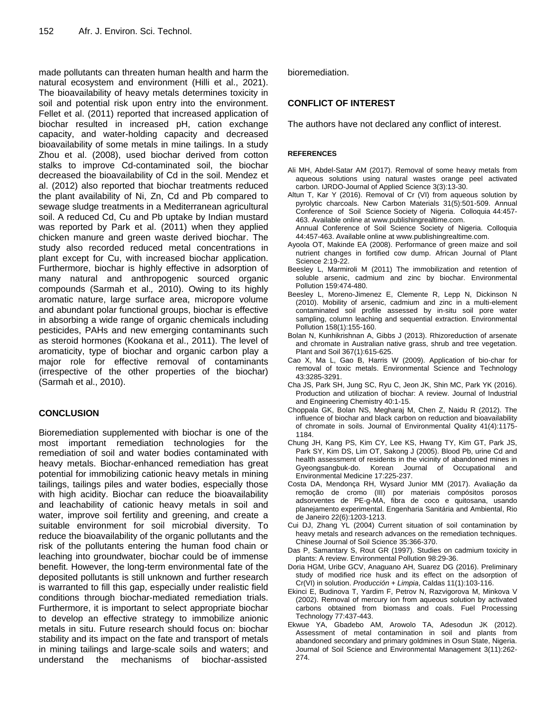made pollutants can threaten human health and harm the natural ecosystem and environment (Hilli et al., 2021). The bioavailability of heavy metals determines toxicity in soil and potential risk upon entry into the environment. Fellet et al. (2011) reported that increased application of biochar resulted in increased pH, cation exchange capacity, and water-holding capacity and decreased bioavailability of some metals in mine tailings. In a study Zhou et al. (2008), used biochar derived from cotton stalks to improve Cd-contaminated soil, the biochar decreased the bioavailability of Cd in the soil. Mendez et al. (2012) also reported that biochar treatments reduced the plant availability of Ni, Zn, Cd and Pb compared to sewage sludge treatments in a Mediterranean agricultural soil. A reduced Cd, Cu and Pb uptake by Indian mustard was reported by Park et al. (2011) when they applied chicken manure and green waste derived biochar. The study also recorded reduced metal concentrations in plant except for Cu, with increased biochar application. Furthermore, biochar is highly effective in adsorption of many natural and anthropogenic sourced organic compounds (Sarmah et al.*,* 2010). Owing to its highly aromatic nature, large surface area, micropore volume and abundant polar functional groups, biochar is effective in absorbing a wide range of organic chemicals including pesticides, PAHs and new emerging contaminants such as steroid hormones (Kookana et al., 2011). The level of aromaticity, type of biochar and organic carbon play a major role for effective removal of contaminants (irrespective of the other properties of the biochar) (Sarmah et al., 2010).

# **CONCLUSION**

Bioremediation supplemented with biochar is one of the most important remediation technologies for the remediation of soil and water bodies contaminated with heavy metals. Biochar-enhanced remediation has great potential for immobilizing cationic heavy metals in mining tailings, tailings piles and water bodies, especially those with high acidity. Biochar can reduce the bioavailability and leachability of cationic heavy metals in soil and water, improve soil fertility and greening, and create a suitable environment for soil microbial diversity. To reduce the bioavailability of the organic pollutants and the risk of the pollutants entering the human food chain or leaching into groundwater, biochar could be of immense benefit. However, the long-term environmental fate of the deposited pollutants is still unknown and further research is warranted to fill this gap, especially under realistic field conditions through biochar-mediated remediation trials. Furthermore, it is important to select appropriate biochar to develop an effective strategy to immobilize anionic metals in situ. Future research should focus on: biochar stability and its impact on the fate and transport of metals in mining tailings and large-scale soils and waters; and understand the mechanisms of biochar-assisted

bioremediation.

#### **CONFLICT OF INTEREST**

The authors have not declared any conflict of interest.

#### **REFERENCES**

- Ali MH, Abdel-Satar AM (2017). Removal of some heavy metals from aqueous solutions using natural wastes orange peel activated carbon. IJRDO-Journal of Applied Science 3(3):13-30.
- Altun T, Kar Y (2016). Removal of Cr (VI) from aqueous solution by pyrolytic charcoals. New Carbon Materials 31(5):501-509. Annual Conference of Soil Science Society of Nigeria. Colloquia 44:457- 463. Available online at www.publishingrealtime.com.

Annual Conference of Soil Science Society of Nigeria. Colloquia 44:457-463. Available online at www.publishingrealtime.com.

- Ayoola OT, Makinde EA (2008). Performance of green maize and soil nutrient changes in fortified cow dump. African Journal of Plant Science 2:19-22.
- Beesley L, Marmiroli M (2011) The immobilization and retention of soluble arsenic, cadmium and zinc by biochar. Environmental Pollution 159:474-480.
- Beesley L, Moreno-Jimenez E, Clemente R, Lepp N, Dickinson N (2010). Mobility of arsenic, cadmium and zinc in a multi-element contaminated soil profile assessed by in-situ soil pore water sampling, column leaching and sequential extraction. Environmental Pollution 158(1):155-160.
- Bolan N, Kunhikrishnan A, Gibbs J (2013). Rhizoreduction of arsenate and chromate in Australian native grass, shrub and tree vegetation. Plant and Soil 367(1):615-625.
- Cao X, Ma L, Gao B, Harris W (2009). Application of bio-char for removal of toxic metals. Environmental Science and Technology 43:3285-3291.
- Cha JS, Park SH, Jung SC, Ryu C, Jeon JK, Shin MC, Park YK (2016). Production and utilization of biochar: A review. Journal of Industrial and Engineering Chemistry 40:1-15.
- Choppala GK, Bolan NS, Megharaj M, Chen Z, Naidu R (2012). The influence of biochar and black carbon on reduction and bioavailability of chromate in soils. Journal of Environmental Quality 41(4):1175- 1184.
- Chung JH, Kang PS, Kim CY, Lee KS, Hwang TY, Kim GT, Park JS, Park SY, Kim DS, Lim OT, Sakong J (2005). Blood Pb, urine Cd and health assessment of residents in the vicinity of abandoned mines in Gyeongsangbuk-do. Korean Journal of Occupational and Environmental Medicine 17:225-237.
- Costa DA, Mendonça RH, Wysard Junior MM (2017). Avaliação da remoção de cromo (III) por materiais compósitos porosos adsorventes de PE-g-MA, fibra de coco e quitosana, usando planejamento experimental. Engenharia Sanitária and Ambiental, Rio de Janeiro 22(6):1203-1213.
- Cui DJ, Zhang YL (2004) Current situation of soil contamination by heavy metals and research advances on the remediation techniques. Chinese Journal of Soil Science 35:366-370.
- Das P, Samantary S, Rout GR (1997). Studies on cadmium toxicity in plants: A review. Environmental Pollution 98:29-36.
- Doria HGM, Uribe GCV, Anaguano AH, Suarez DG (2016). Preliminary study of modified rice husk and its effect on the adsorption of Cr(VI) in solution. *Producción + Limpia*, Caldas 11(1):103-116.
- Ekinci E, Budinova T, Yardim F, Petrov N, Razvigorova M, Minkova V (2002). Removal of mercury ion from aqueous solution by activated carbons obtained from biomass and coals. Fuel Processing Technology 77:437-443.
- Ekwue YA, Gbadebo AM, Arowolo TA, Adesodun JK (2012). Assessment of metal contamination in soil and plants from abandoned secondary and primary goldmines in Osun State, Nigeria. Journal of Soil Science and Environmental Management 3(11):262- 274.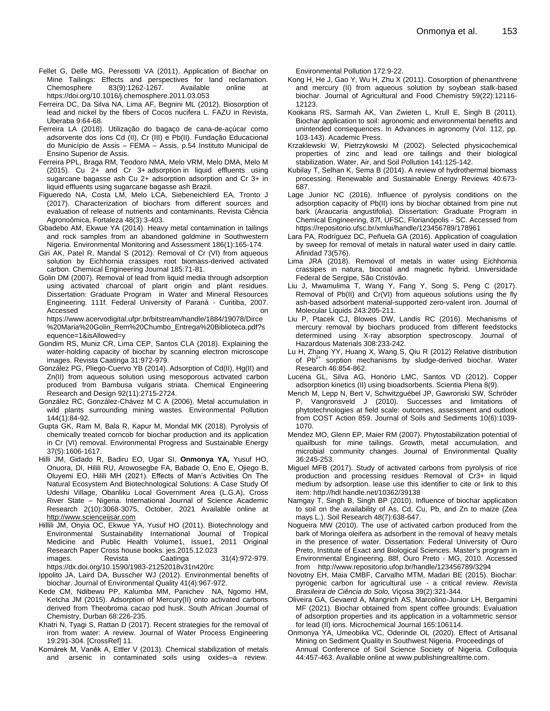- Fellet G, Delle MG, Peressotti VA (2011). Application of Biochar on Mine Tailings: Effects and perspectives for land reclamation. Chemosphere [83\(9\)](https://www.sciencedirect.com/science/journal/00456535/83/9):1262-1267. Available online at https://doi.org/10.1016/j.chemosphere.2011.03.053
- Ferreira DC, Da Silva NA, Lima AF, Begnini ML (2012). Biosorption of lead and nickel by the fibers of Cocos nucifera L. FAZU in Revista, Uberaba 9:64-68.
- Ferreira LA (2018). Utilização do bagaço de cana-de-açúcar como adsorvente dos íons Cd (II), Cr (III) e Pb(II). Fundação Educacional do Município de Assis – FEMA – Assis, p.54 Instituto Municipal de Ensino Superior de Assis.
- Ferreira PPL, Braga RM, Teodoro NMA, Melo VRM, Melo DMA, Melo M (2015). Cu 2+ and Cr 3+ adsorption in liquid effluents using sugarcane bagasse ash Cu 2+ adsorption adsorption and Cr 3+ in liquid effluents using sugarcane bagasse ash Brazil.
- Figueredo NA, Costa LM, Melo LCA, Siebeneichlerd EA, Tronto J (2017). Characterization of biochars from different sources and evaluation of release of nutrients and contaminants. Revista Ciência Agronoômica, Fortaleza 48(3):3-403.
- Gbadebo AM, Ekwue YA (2014). Heavy metal contamination in tailings and rock samples from an abandoned goldmine in Southwestern Nigeria. Environmental Monitoring and Assessment 186(1):165-174.
- Giri AK, Patel R, Mandal S (2012). Removal of Cr (VI) from aqueous solution by Eichhornia crassipes root biomass-derived activated carbon. Chemical Engineering Journal 185:71-81.
- Golin DM (2007). Removal of lead from liquid media through adsorption using activated charcoal of plant origin and plant residues. Dissertation: Graduate Program in Water and Mineral Resources Engineering. 111f. Federal University of Paraná - Curitiba, 2007. Accessed on the contract of the contract of the contract of the contract of the contract of the contract of the contract of the contract of the contract of the contract of the contract of the contract of the contract of th

https://www.acervodigital.ufpr.br/bitstream/handle/1884/19078/Dirce %20Maria%20Golin\_Rem%20Chumbo\_Entrega%20Biblioteca.pdf?s equence=1&isAllowed=y

- Gondim RS, Muniz CR, Lima CEP, Santos CLA (2018). Explaining the water-holding capacity of biochar by scanning electron microscope images. Revista Caatinga 31:972-979.
- González PG, Pliego-Cuervo YB (2014). Adsorption of Cd(II), Hg(II) and Zn(II) from aqueous solution using mesoporous activated carbon produced from Bambusa vulgaris striata. Chemical Engineering Research and Design 92(11):2715-2724.
- González RC, González-Chávez M C A (2006). Metal accumulation in wild plants surrounding mining wastes. Environmental Pollution 144(1):84-92.
- Gupta GK, Ram M, Bala R, Kapur M, Mondal MK (2018). Pyrolysis of chemically treated corncob for biochar production and its application in Cr (VI) removal. Environmental Progress and Sustainable Energy 37(5):1606-1617.
- Hilli JM, Gidado R, Badiru EO, Ugar SI, **Onmonya YA,** Yusuf HO, Onuora, DI, Hilili RU, Arowosegbe FA, Babade O, Eno E, Ojiego B, Oluyemi EO, Hilili MH (2021). Effects of Man's Activities On The Natural Ecosystem And Biotechnological Solutions: A Case Study Of Udeshi Village, Obanliku Local Government Area (L.G.A), Cross River State – Nigeria. International Journal of Science Academic Research 2(10):3068-3075, October, 2021 Available online at [http://www.scienceijsar.com](http://www.scienceijsar.com/)
- Hillili JM, Onyia OC, Ekwue YA, Yusuf HO (2011). Biotechnology and Environmental Sustainability International Journal of Tropical Medicine and Public Health Volume1, Issue1, 2011 Original Research Paper Cross house books. jes.2015.12.023 images. Revista Caatinga 31(4):972-979.

https://dx.doi.org/10.1590/1983-21252018v31n420rc

Ippolito JA, Laird DA, Busscher WJ (2012). Environmental benefits of biochar. Journal of Environmental Quality 41(4):967-972.

- Kede CM, Ndibewu PP, Kalumba MM, Panichev NA, Ngomo HM, Ketcha JM (2015). Adsorption of Mercury(II) onto activated carbons derived from Theobroma cacao pod husk. South African Journal of Chemistry, Durban 68:226-235.
- Khatri N, Tyagi S, Rattan D (2017). Recent strategies for the removal of iron from water: A review. Journal of Water Process Engineering 19:291-304. [CrossRef] 11.
- Komárek M, Vaněk A, Ettler V (2013). Chemical stabilization of metals and arsenic in contaminated soils using oxides–a review.

Environmental Pollution 172:9-22.

- Kong H, He J, Gao Y, Wu H, Zhu X (2011). Cosorption of phenanthrene and mercury (II) from aqueous solution by soybean stalk-based biochar. Journal of Agricultural and Food Chemistry 59(22):12116- 12123.
- Kookana RS, Sarmah AK, Van Zwieten L, Krull E, Singh B (2011). Biochar application to soil: agronomic and environmental benefits and unintended consequences. In Advances in agronomy (Vol. 112, pp. 103-143). Academic Press.
- Krzaklewski W, Pietrzykowski M (2002). Selected physicochemical properties of zinc and lead ore tailings and their biological stabilization. Water, Air, and Soil Pollution 141:125-142.
- Kubilay T, Selhan K, Sema B (2014). A review of hydrothermal biomass processing. Renewable and Sustainable Energy Reviews 40:673- 687.
- Lage Junior NC (2016). Influence of pyrolysis conditions on the adsorption capacity of Pb(II) ions by biochar obtained from pine nut bark (Araucaria angustifolia). Dissertation: Graduate Program in Chemical Engineering, 87f, UFSC, Florianópolis - SC. Accessed from https://repositorio.ufsc.br/xmlui/handle/123456789/178961
- Lara PA, Rodríguez DC, Peñuela GA (2016). Application of coagulation by sweep for removal of metals in natural water used in dairy cattle. Afinidad 73(576).
- Lima JRA (2018). Removal of metals in water using Eichhornia crassipes in natura, biocoal and magnetic hybrid. Universidade Federal de Sergipe, São Cristóvão.
- Liu J, Mwamulima T, Wang Y, Fang Y, Song S, Peng C (2017). Removal of Pb(II) and Cr(VI) from aqueous solutions using the fly ash-based adsorbent material-supported zero-valent iron. Journal of Molecular Liquids 243:205-211.
- Liu P, Ptacek CJ, Blowes DW, Landis RC (2016). Mechanisms of mercury removal by biochars produced from different feedstocks determined using X-ray absorption spectroscopy. Journal of Hazardous Materials 308:233-242.
- Lu H, Zhang YY, Huang X, Wang S, Qiu R (2012) Relative distribution of  $Pb^{2+}$  sorption mechanisms by sludge-derived biochar. Water Research 46:854-862.
- Lucena GL, Silva AG, Honório LMC, Santos VD (2012). Copper adsorption kinetics (II) using bioadsorbents. Scientia Plena 8(9).
- Mench M, Lepp N, Bert V, Schwitzguébel JP, Gawronski SW, Schröder P, Vangronsveld J (2010). Successes and limitations of phytotechnologies at field scale: outcomes, assessment and outlook from COST Action 859. Journal of Soils and Sediments 10(6):1039- 1070.
- Mendez MO, Glenn EP, Maier RM (2007). Phytostabilization potential of quailbush for mine tailings. Growth, metal accumulation, and microbial community changes. Journal of Environmental Quality 36:245-253.
- Miguel MFB (2017). Study of activated carbons from pyrolysis of rice production and processing residues Removal of Cr3+ in liquid medium by adsorption. lease use this identifier to cite or link to this item: http://hdl.handle.net/10362/39138
- Namgay T, Singh B, Singh BP (2010). Influence of biochar application to soil on the availability of As, Cd, Cu, Pb, and Zn to maize (Zea mays L.). Soil Research 48(7):638-647.
- Nogueira MW (2010). The use of activated carbon produced from the bark of Moringa oleifera as adsorbent in the removal of heavy metals in the presence of water. Dissertation: Federal University of Ouro Preto, Institute of Exact and Biological Sciences. Master's program in Environmental Engineering. 88f, Ouro Preto - MG, 2010. Accessed from http://www.repositorio.ufop.br/handle/123456789/3294
- Novotny EH, Maia CMBF, Carvalho MTM, Madari BE (2015). Biochar: pyrogenic carbon for agricultural use - a critical review. *Revista Brasileira de Ciência do Solo,* Viçosa 39(2):321-344.
- Oliveira GA, Gevaerd A, Mangrich AS, Marcolino-Junior LH, Bergamini MF (2021). Biochar obtained from spent coffee grounds: Evaluation of adsorption properties and its application in a voltammetric sensor for lead (II) ions. Microchemical Journal 165:106114.
- Onmonya YA, Umeobika VC, Oderinde OL (2020). Effect of Artisanal Mining on Sediment Quality in Southwest Nigeria. Proceedings of Annual Conference of Soil Science Society of Nigeria. Colloquia 44:457-463. Available online at www.publishingrealtime.com.